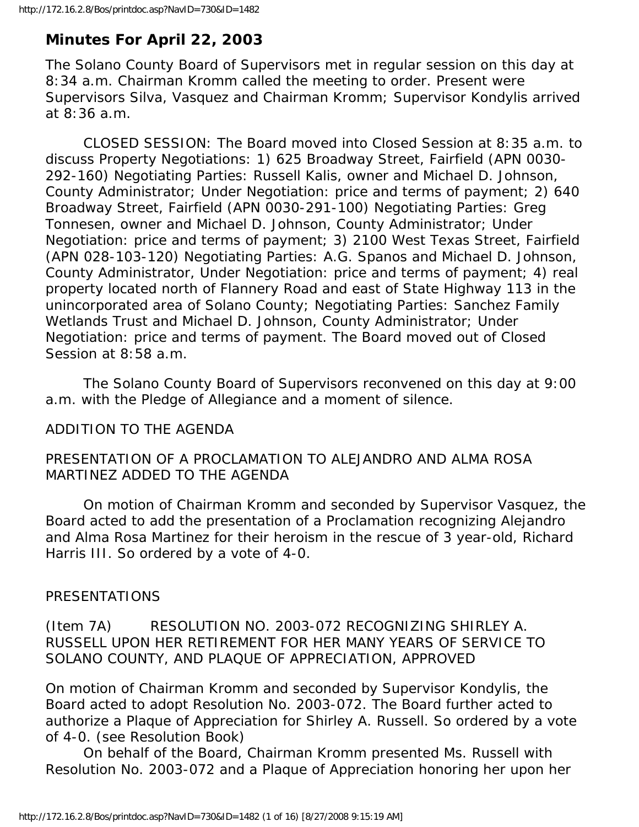# **Minutes For April 22, 2003**

The Solano County Board of Supervisors met in regular session on this day at 8:34 a.m. Chairman Kromm called the meeting to order. Present were Supervisors Silva, Vasquez and Chairman Kromm; Supervisor Kondylis arrived at 8:36 a.m.

 CLOSED SESSION: The Board moved into Closed Session at 8:35 a.m. to discuss Property Negotiations: 1) 625 Broadway Street, Fairfield (APN 0030- 292-160) Negotiating Parties: Russell Kalis, owner and Michael D. Johnson, County Administrator; Under Negotiation: price and terms of payment; 2) 640 Broadway Street, Fairfield (APN 0030-291-100) Negotiating Parties: Greg Tonnesen, owner and Michael D. Johnson, County Administrator; Under Negotiation: price and terms of payment; 3) 2100 West Texas Street, Fairfield (APN 028-103-120) Negotiating Parties: A.G. Spanos and Michael D. Johnson, County Administrator, Under Negotiation: price and terms of payment; 4) real property located north of Flannery Road and east of State Highway 113 in the unincorporated area of Solano County; Negotiating Parties: Sanchez Family Wetlands Trust and Michael D. Johnson, County Administrator; Under Negotiation: price and terms of payment. The Board moved out of Closed Session at 8:58 a.m.

 The Solano County Board of Supervisors reconvened on this day at 9:00 a.m. with the Pledge of Allegiance and a moment of silence.

## ADDITION TO THE AGENDA

### PRESENTATION OF A PROCLAMATION TO ALEJANDRO AND ALMA ROSA MARTINEZ ADDED TO THE AGENDA

 On motion of Chairman Kromm and seconded by Supervisor Vasquez, the Board acted to add the presentation of a Proclamation recognizing Alejandro and Alma Rosa Martinez for their heroism in the rescue of 3 year-old, Richard Harris III. So ordered by a vote of 4-0.

## PRESENTATIONS

(Item 7A) RESOLUTION NO. 2003-072 RECOGNIZING SHIRLEY A. RUSSELL UPON HER RETIREMENT FOR HER MANY YEARS OF SERVICE TO SOLANO COUNTY, AND PLAQUE OF APPRECIATION, APPROVED

On motion of Chairman Kromm and seconded by Supervisor Kondylis, the Board acted to adopt Resolution No. 2003-072. The Board further acted to authorize a Plaque of Appreciation for Shirley A. Russell. So ordered by a vote of 4-0. (see Resolution Book)

 On behalf of the Board, Chairman Kromm presented Ms. Russell with Resolution No. 2003-072 and a Plaque of Appreciation honoring her upon her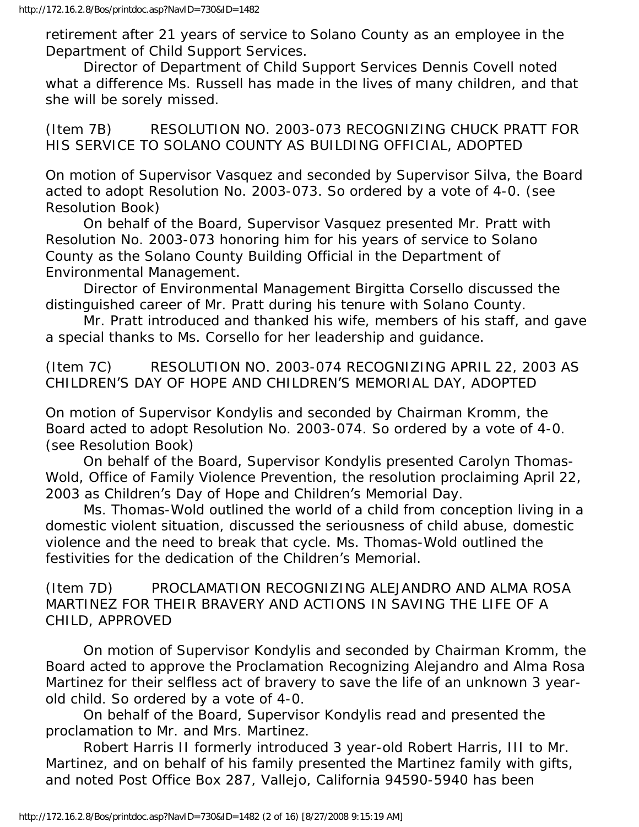retirement after 21 years of service to Solano County as an employee in the Department of Child Support Services.

 Director of Department of Child Support Services Dennis Covell noted what a difference Ms. Russell has made in the lives of many children, and that she will be sorely missed.

(Item 7B) RESOLUTION NO. 2003-073 RECOGNIZING CHUCK PRATT FOR HIS SERVICE TO SOLANO COUNTY AS BUILDING OFFICIAL, ADOPTED

On motion of Supervisor Vasquez and seconded by Supervisor Silva, the Board acted to adopt Resolution No. 2003-073. So ordered by a vote of 4-0. (see Resolution Book)

 On behalf of the Board, Supervisor Vasquez presented Mr. Pratt with Resolution No. 2003-073 honoring him for his years of service to Solano County as the Solano County Building Official in the Department of Environmental Management.

 Director of Environmental Management Birgitta Corsello discussed the distinguished career of Mr. Pratt during his tenure with Solano County.

 Mr. Pratt introduced and thanked his wife, members of his staff, and gave a special thanks to Ms. Corsello for her leadership and guidance.

(Item 7C) RESOLUTION NO. 2003-074 RECOGNIZING APRIL 22, 2003 AS CHILDREN'S DAY OF HOPE AND CHILDREN'S MEMORIAL DAY, ADOPTED

On motion of Supervisor Kondylis and seconded by Chairman Kromm, the Board acted to adopt Resolution No. 2003-074. So ordered by a vote of 4-0. (see Resolution Book)

 On behalf of the Board, Supervisor Kondylis presented Carolyn Thomas-Wold, Office of Family Violence Prevention, the resolution proclaiming April 22, 2003 as Children's Day of Hope and Children's Memorial Day.

 Ms. Thomas-Wold outlined the world of a child from conception living in a domestic violent situation, discussed the seriousness of child abuse, domestic violence and the need to break that cycle. Ms. Thomas-Wold outlined the festivities for the dedication of the Children's Memorial.

(Item 7D) PROCLAMATION RECOGNIZING ALEJANDRO AND ALMA ROSA MARTINEZ FOR THEIR BRAVERY AND ACTIONS IN SAVING THE LIFE OF A CHILD, APPROVED

 On motion of Supervisor Kondylis and seconded by Chairman Kromm, the Board acted to approve the Proclamation Recognizing Alejandro and Alma Rosa Martinez for their selfless act of bravery to save the life of an unknown 3 yearold child. So ordered by a vote of 4-0.

 On behalf of the Board, Supervisor Kondylis read and presented the proclamation to Mr. and Mrs. Martinez.

 Robert Harris II formerly introduced 3 year-old Robert Harris, III to Mr. Martinez, and on behalf of his family presented the Martinez family with gifts, and noted Post Office Box 287, Vallejo, California 94590-5940 has been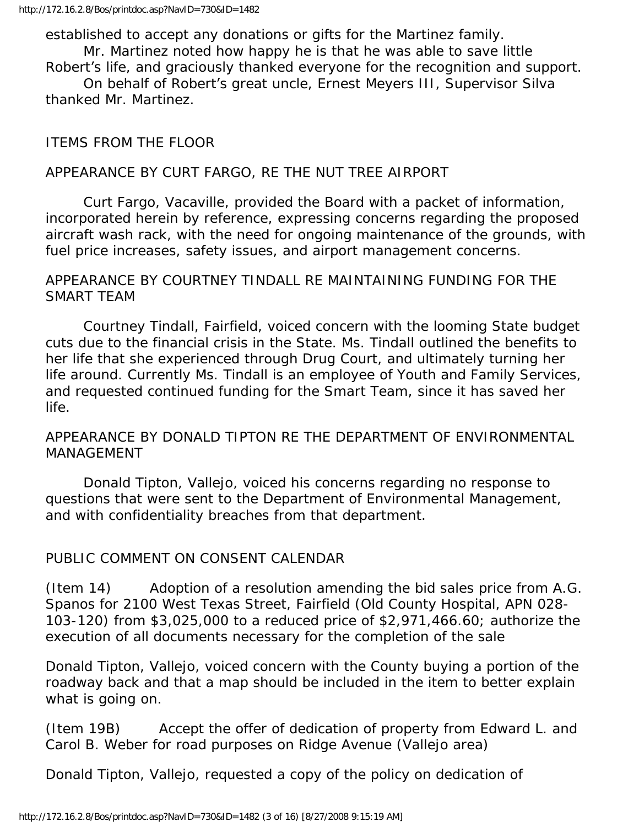established to accept any donations or gifts for the Martinez family. Mr. Martinez noted how happy he is that he was able to save little

Robert's life, and graciously thanked everyone for the recognition and support.

 On behalf of Robert's great uncle, Ernest Meyers III, Supervisor Silva thanked Mr. Martinez.

#### ITEMS FROM THE FLOOR

#### APPEARANCE BY CURT FARGO, RE THE NUT TREE AIRPORT

 Curt Fargo, Vacaville, provided the Board with a packet of information, incorporated herein by reference, expressing concerns regarding the proposed aircraft wash rack, with the need for ongoing maintenance of the grounds, with fuel price increases, safety issues, and airport management concerns.

#### APPEARANCE BY COURTNEY TINDALL RE MAINTAINING FUNDING FOR THE SMART TEAM

 Courtney Tindall, Fairfield, voiced concern with the looming State budget cuts due to the financial crisis in the State. Ms. Tindall outlined the benefits to her life that she experienced through Drug Court, and ultimately turning her life around. Currently Ms. Tindall is an employee of Youth and Family Services, and requested continued funding for the Smart Team, since it has saved her life.

#### APPEARANCE BY DONALD TIPTON RE THE DEPARTMENT OF ENVIRONMENTAL MANAGEMENT

 Donald Tipton, Vallejo, voiced his concerns regarding no response to questions that were sent to the Department of Environmental Management, and with confidentiality breaches from that department.

#### PUBLIC COMMENT ON CONSENT CALENDAR

(Item 14) Adoption of a resolution amending the bid sales price from A.G. Spanos for 2100 West Texas Street, Fairfield (Old County Hospital, APN 028- 103-120) from \$3,025,000 to a reduced price of \$2,971,466.60; authorize the execution of all documents necessary for the completion of the sale

Donald Tipton, Vallejo, voiced concern with the County buying a portion of the roadway back and that a map should be included in the item to better explain what is going on.

(Item 19B) Accept the offer of dedication of property from Edward L. and Carol B. Weber for road purposes on Ridge Avenue (Vallejo area)

Donald Tipton, Vallejo, requested a copy of the policy on dedication of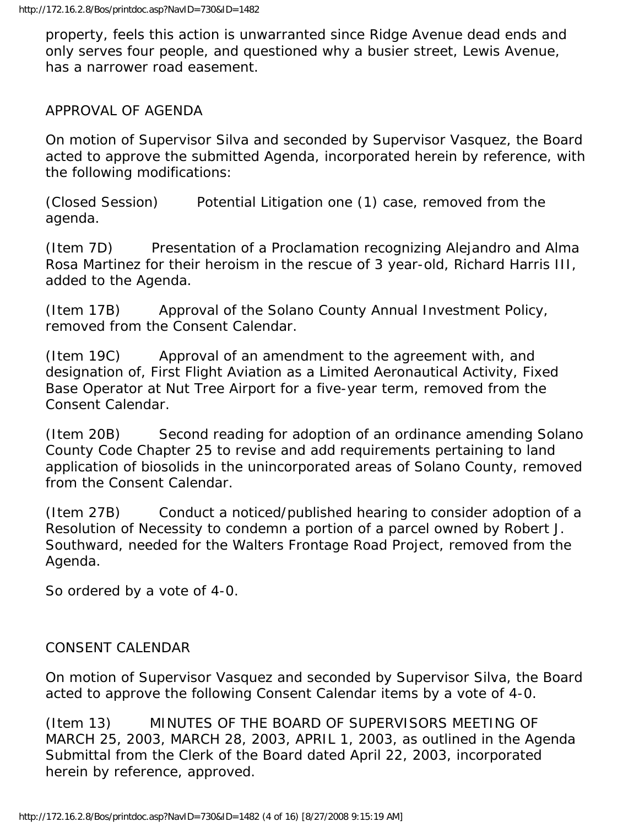property, feels this action is unwarranted since Ridge Avenue dead ends and only serves four people, and questioned why a busier street, Lewis Avenue, has a narrower road easement.

#### APPROVAL OF AGENDA

On motion of Supervisor Silva and seconded by Supervisor Vasquez, the Board acted to approve the submitted Agenda, incorporated herein by reference, with the following modifications:

(Closed Session) Potential Litigation one (1) case, removed from the agenda.

(Item 7D) Presentation of a Proclamation recognizing Alejandro and Alma Rosa Martinez for their heroism in the rescue of 3 year-old, Richard Harris III, added to the Agenda.

(Item 17B) Approval of the Solano County Annual Investment Policy, removed from the Consent Calendar.

(Item 19C) Approval of an amendment to the agreement with, and designation of, First Flight Aviation as a Limited Aeronautical Activity, Fixed Base Operator at Nut Tree Airport for a five-year term, removed from the Consent Calendar.

(Item 20B) Second reading for adoption of an ordinance amending Solano County Code Chapter 25 to revise and add requirements pertaining to land application of biosolids in the unincorporated areas of Solano County, removed from the Consent Calendar.

(Item 27B) Conduct a noticed/published hearing to consider adoption of a Resolution of Necessity to condemn a portion of a parcel owned by Robert J. Southward, needed for the Walters Frontage Road Project, removed from the Agenda.

So ordered by a vote of 4-0.

#### CONSENT CALENDAR

On motion of Supervisor Vasquez and seconded by Supervisor Silva, the Board acted to approve the following Consent Calendar items by a vote of 4-0.

(Item 13) MINUTES OF THE BOARD OF SUPERVISORS MEETING OF MARCH 25, 2003, MARCH 28, 2003, APRIL 1, 2003, as outlined in the Agenda Submittal from the Clerk of the Board dated April 22, 2003, incorporated herein by reference, approved.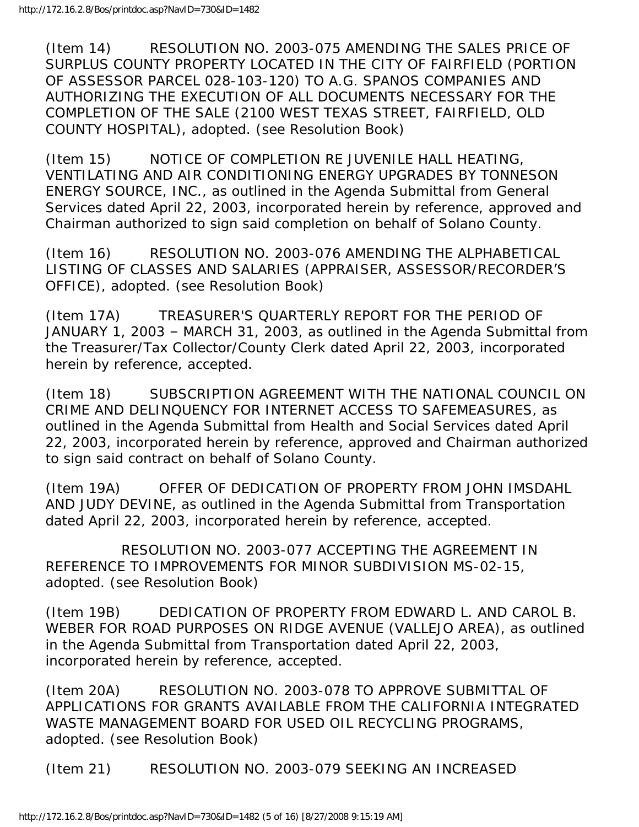(Item 14) RESOLUTION NO. 2003-075 AMENDING THE SALES PRICE OF SURPLUS COUNTY PROPERTY LOCATED IN THE CITY OF FAIRFIELD (PORTION OF ASSESSOR PARCEL 028-103-120) TO A.G. SPANOS COMPANIES AND AUTHORIZING THE EXECUTION OF ALL DOCUMENTS NECESSARY FOR THE COMPLETION OF THE SALE (2100 WEST TEXAS STREET, FAIRFIELD, OLD COUNTY HOSPITAL), adopted. (see Resolution Book)

(Item 15) NOTICE OF COMPLETION RE JUVENILE HALL HEATING, VENTILATING AND AIR CONDITIONING ENERGY UPGRADES BY TONNESON ENERGY SOURCE, INC., as outlined in the Agenda Submittal from General Services dated April 22, 2003, incorporated herein by reference, approved and Chairman authorized to sign said completion on behalf of Solano County.

(Item 16) RESOLUTION NO. 2003-076 AMENDING THE ALPHABETICAL LISTING OF CLASSES AND SALARIES (APPRAISER, ASSESSOR/RECORDER'S OFFICE), adopted. (see Resolution Book)

(Item 17A) TREASURER'S QUARTERLY REPORT FOR THE PERIOD OF JANUARY 1, 2003 – MARCH 31, 2003, as outlined in the Agenda Submittal from the Treasurer/Tax Collector/County Clerk dated April 22, 2003, incorporated herein by reference, accepted.

(Item 18) SUBSCRIPTION AGREEMENT WITH THE NATIONAL COUNCIL ON CRIME AND DELINQUENCY FOR INTERNET ACCESS TO SAFEMEASURES, as outlined in the Agenda Submittal from Health and Social Services dated April 22, 2003, incorporated herein by reference, approved and Chairman authorized to sign said contract on behalf of Solano County.

(Item 19A) OFFER OF DEDICATION OF PROPERTY FROM JOHN IMSDAHL AND JUDY DEVINE, as outlined in the Agenda Submittal from Transportation dated April 22, 2003, incorporated herein by reference, accepted.

 RESOLUTION NO. 2003-077 ACCEPTING THE AGREEMENT IN REFERENCE TO IMPROVEMENTS FOR MINOR SUBDIVISION MS-02-15, adopted. (see Resolution Book)

(Item 19B) DEDICATION OF PROPERTY FROM EDWARD L. AND CAROL B. WEBER FOR ROAD PURPOSES ON RIDGE AVENUE (VALLEJO AREA), as outlined in the Agenda Submittal from Transportation dated April 22, 2003, incorporated herein by reference, accepted.

(Item 20A) RESOLUTION NO. 2003-078 TO APPROVE SUBMITTAL OF APPLICATIONS FOR GRANTS AVAILABLE FROM THE CALIFORNIA INTEGRATED WASTE MANAGEMENT BOARD FOR USED OIL RECYCLING PROGRAMS, adopted. (see Resolution Book)

(Item 21) RESOLUTION NO. 2003-079 SEEKING AN INCREASED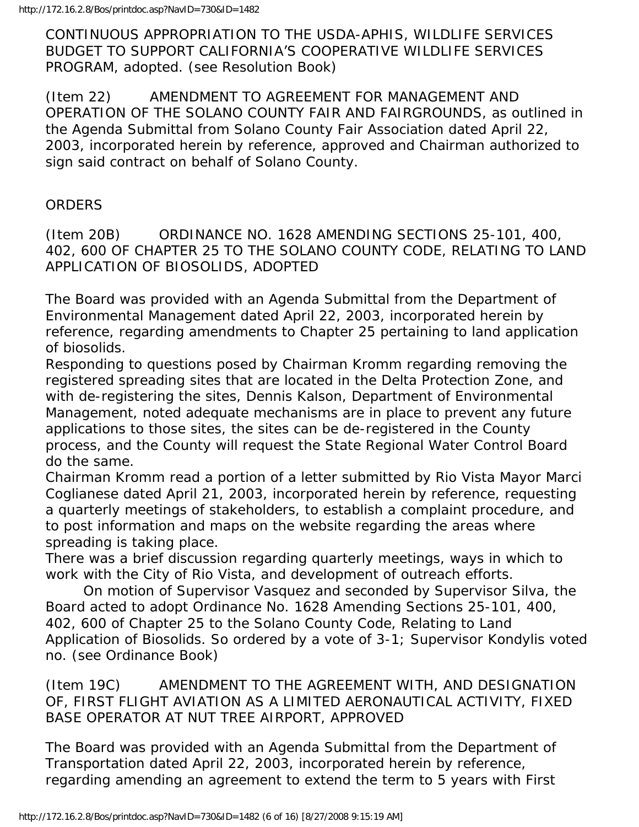CONTINUOUS APPROPRIATION TO THE USDA-APHIS, WILDLIFE SERVICES BUDGET TO SUPPORT CALIFORNIA'S COOPERATIVE WILDLIFE SERVICES PROGRAM, adopted. (see Resolution Book)

(Item 22) AMENDMENT TO AGREEMENT FOR MANAGEMENT AND OPERATION OF THE SOLANO COUNTY FAIR AND FAIRGROUNDS, as outlined in the Agenda Submittal from Solano County Fair Association dated April 22, 2003, incorporated herein by reference, approved and Chairman authorized to sign said contract on behalf of Solano County.

#### **ORDERS**

(Item 20B) ORDINANCE NO. 1628 AMENDING SECTIONS 25-101, 400, 402, 600 OF CHAPTER 25 TO THE SOLANO COUNTY CODE, RELATING TO LAND APPLICATION OF BIOSOLIDS, ADOPTED

The Board was provided with an Agenda Submittal from the Department of Environmental Management dated April 22, 2003, incorporated herein by reference, regarding amendments to Chapter 25 pertaining to land application of biosolids.

Responding to questions posed by Chairman Kromm regarding removing the registered spreading sites that are located in the Delta Protection Zone, and with de-registering the sites, Dennis Kalson, Department of Environmental Management, noted adequate mechanisms are in place to prevent any future applications to those sites, the sites can be de-registered in the County process, and the County will request the State Regional Water Control Board do the same.

Chairman Kromm read a portion of a letter submitted by Rio Vista Mayor Marci Coglianese dated April 21, 2003, incorporated herein by reference, requesting a quarterly meetings of stakeholders, to establish a complaint procedure, and to post information and maps on the website regarding the areas where spreading is taking place.

There was a brief discussion regarding quarterly meetings, ways in which to work with the City of Rio Vista, and development of outreach efforts.

 On motion of Supervisor Vasquez and seconded by Supervisor Silva, the Board acted to adopt Ordinance No. 1628 Amending Sections 25-101, 400, 402, 600 of Chapter 25 to the Solano County Code, Relating to Land Application of Biosolids. So ordered by a vote of 3-1; Supervisor Kondylis voted no. (see Ordinance Book)

(Item 19C) AMENDMENT TO THE AGREEMENT WITH, AND DESIGNATION OF, FIRST FLIGHT AVIATION AS A LIMITED AERONAUTICAL ACTIVITY, FIXED BASE OPERATOR AT NUT TREE AIRPORT, APPROVED

The Board was provided with an Agenda Submittal from the Department of Transportation dated April 22, 2003, incorporated herein by reference, regarding amending an agreement to extend the term to 5 years with First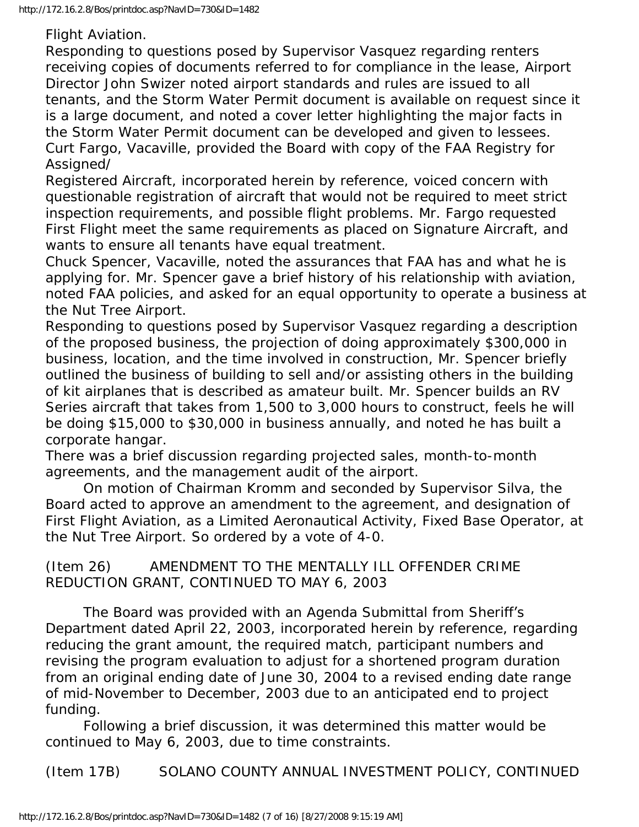Flight Aviation.

Responding to questions posed by Supervisor Vasquez regarding renters receiving copies of documents referred to for compliance in the lease, Airport Director John Swizer noted airport standards and rules are issued to all tenants, and the Storm Water Permit document is available on request since it is a large document, and noted a cover letter highlighting the major facts in the Storm Water Permit document can be developed and given to lessees. Curt Fargo, Vacaville, provided the Board with copy of the FAA Registry for Assigned/

Registered Aircraft, incorporated herein by reference, voiced concern with questionable registration of aircraft that would not be required to meet strict inspection requirements, and possible flight problems. Mr. Fargo requested First Flight meet the same requirements as placed on Signature Aircraft, and wants to ensure all tenants have equal treatment.

Chuck Spencer, Vacaville, noted the assurances that FAA has and what he is applying for. Mr. Spencer gave a brief history of his relationship with aviation, noted FAA policies, and asked for an equal opportunity to operate a business at the Nut Tree Airport.

Responding to questions posed by Supervisor Vasquez regarding a description of the proposed business, the projection of doing approximately \$300,000 in business, location, and the time involved in construction, Mr. Spencer briefly outlined the business of building to sell and/or assisting others in the building of kit airplanes that is described as amateur built. Mr. Spencer builds an RV Series aircraft that takes from 1,500 to 3,000 hours to construct, feels he will be doing \$15,000 to \$30,000 in business annually, and noted he has built a corporate hangar.

There was a brief discussion regarding projected sales, month-to-month agreements, and the management audit of the airport.

 On motion of Chairman Kromm and seconded by Supervisor Silva, the Board acted to approve an amendment to the agreement, and designation of First Flight Aviation, as a Limited Aeronautical Activity, Fixed Base Operator, at the Nut Tree Airport. So ordered by a vote of 4-0.

(Item 26) AMENDMENT TO THE MENTALLY ILL OFFENDER CRIME REDUCTION GRANT, CONTINUED TO MAY 6, 2003

 The Board was provided with an Agenda Submittal from Sheriff's Department dated April 22, 2003, incorporated herein by reference, regarding reducing the grant amount, the required match, participant numbers and revising the program evaluation to adjust for a shortened program duration from an original ending date of June 30, 2004 to a revised ending date range of mid-November to December, 2003 due to an anticipated end to project funding.

 Following a brief discussion, it was determined this matter would be continued to May 6, 2003, due to time constraints.

(Item 17B) SOLANO COUNTY ANNUAL INVESTMENT POLICY, CONTINUED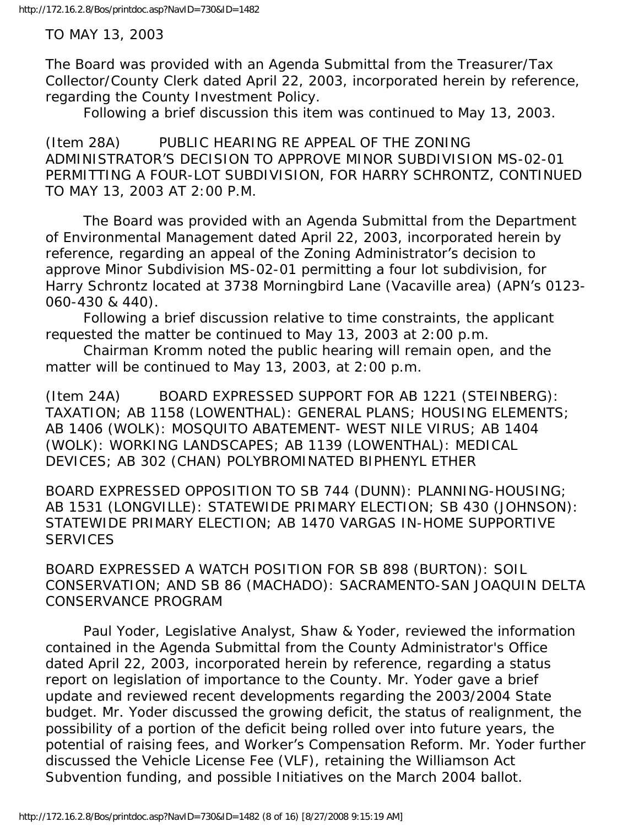TO MAY 13, 2003

The Board was provided with an Agenda Submittal from the Treasurer/Tax Collector/County Clerk dated April 22, 2003, incorporated herein by reference, regarding the County Investment Policy.

Following a brief discussion this item was continued to May 13, 2003.

(Item 28A) PUBLIC HEARING RE APPEAL OF THE ZONING ADMINISTRATOR'S DECISION TO APPROVE MINOR SUBDIVISION MS-02-01 PERMITTING A FOUR-LOT SUBDIVISION, FOR HARRY SCHRONTZ, CONTINUED TO MAY 13, 2003 AT 2:00 P.M.

 The Board was provided with an Agenda Submittal from the Department of Environmental Management dated April 22, 2003, incorporated herein by reference, regarding an appeal of the Zoning Administrator's decision to approve Minor Subdivision MS-02-01 permitting a four lot subdivision, for Harry Schrontz located at 3738 Morningbird Lane (Vacaville area) (APN's 0123- 060-430 & 440).

 Following a brief discussion relative to time constraints, the applicant requested the matter be continued to May 13, 2003 at 2:00 p.m.

 Chairman Kromm noted the public hearing will remain open, and the matter will be continued to May 13, 2003, at 2:00 p.m.

(Item 24A) BOARD EXPRESSED SUPPORT FOR AB 1221 (STEINBERG): TAXATION; AB 1158 (LOWENTHAL): GENERAL PLANS; HOUSING ELEMENTS; AB 1406 (WOLK): MOSQUITO ABATEMENT- WEST NILE VIRUS; AB 1404 (WOLK): WORKING LANDSCAPES; AB 1139 (LOWENTHAL): MEDICAL DEVICES; AB 302 (CHAN) POLYBROMINATED BIPHENYL ETHER

BOARD EXPRESSED OPPOSITION TO SB 744 (DUNN): PLANNING-HOUSING; AB 1531 (LONGVILLE): STATEWIDE PRIMARY ELECTION; SB 430 (JOHNSON): STATEWIDE PRIMARY ELECTION; AB 1470 VARGAS IN-HOME SUPPORTIVE **SERVICES** 

BOARD EXPRESSED A WATCH POSITION FOR SB 898 (BURTON): SOIL CONSERVATION; AND SB 86 (MACHADO): SACRAMENTO-SAN JOAQUIN DELTA CONSERVANCE PROGRAM

 Paul Yoder, Legislative Analyst, Shaw & Yoder, reviewed the information contained in the Agenda Submittal from the County Administrator's Office dated April 22, 2003, incorporated herein by reference, regarding a status report on legislation of importance to the County. Mr. Yoder gave a brief update and reviewed recent developments regarding the 2003/2004 State budget. Mr. Yoder discussed the growing deficit, the status of realignment, the possibility of a portion of the deficit being rolled over into future years, the potential of raising fees, and Worker's Compensation Reform. Mr. Yoder further discussed the Vehicle License Fee (VLF), retaining the Williamson Act Subvention funding, and possible Initiatives on the March 2004 ballot.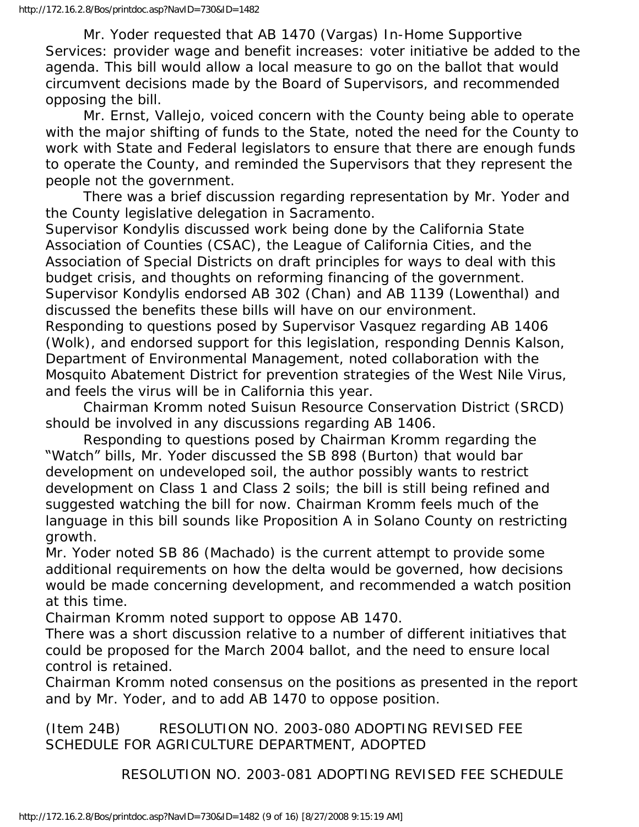Mr. Yoder requested that AB 1470 (Vargas) In-Home Supportive Services: provider wage and benefit increases: voter initiative be added to the agenda. This bill would allow a local measure to go on the ballot that would circumvent decisions made by the Board of Supervisors, and recommended opposing the bill.

 Mr. Ernst, Vallejo, voiced concern with the County being able to operate with the major shifting of funds to the State, noted the need for the County to work with State and Federal legislators to ensure that there are enough funds to operate the County, and reminded the Supervisors that they represent the people not the government.

 There was a brief discussion regarding representation by Mr. Yoder and the County legislative delegation in Sacramento.

Supervisor Kondylis discussed work being done by the California State Association of Counties (CSAC), the League of California Cities, and the Association of Special Districts on draft principles for ways to deal with this budget crisis, and thoughts on reforming financing of the government. Supervisor Kondylis endorsed AB 302 (Chan) and AB 1139 (Lowenthal) and discussed the benefits these bills will have on our environment.

Responding to questions posed by Supervisor Vasquez regarding AB 1406 (Wolk), and endorsed support for this legislation, responding Dennis Kalson, Department of Environmental Management, noted collaboration with the Mosquito Abatement District for prevention strategies of the West Nile Virus, and feels the virus will be in California this year.

 Chairman Kromm noted Suisun Resource Conservation District (SRCD) should be involved in any discussions regarding AB 1406.

 Responding to questions posed by Chairman Kromm regarding the "Watch" bills, Mr. Yoder discussed the SB 898 (Burton) that would bar development on undeveloped soil, the author possibly wants to restrict development on Class 1 and Class 2 soils; the bill is still being refined and suggested watching the bill for now. Chairman Kromm feels much of the language in this bill sounds like Proposition A in Solano County on restricting growth.

Mr. Yoder noted SB 86 (Machado) is the current attempt to provide some additional requirements on how the delta would be governed, how decisions would be made concerning development, and recommended a watch position at this time.

Chairman Kromm noted support to oppose AB 1470.

There was a short discussion relative to a number of different initiatives that could be proposed for the March 2004 ballot, and the need to ensure local control is retained.

Chairman Kromm noted consensus on the positions as presented in the report and by Mr. Yoder, and to add AB 1470 to oppose position.

(Item 24B) RESOLUTION NO. 2003-080 ADOPTING REVISED FEE SCHEDULE FOR AGRICULTURE DEPARTMENT, ADOPTED

RESOLUTION NO. 2003-081 ADOPTING REVISED FEE SCHEDULE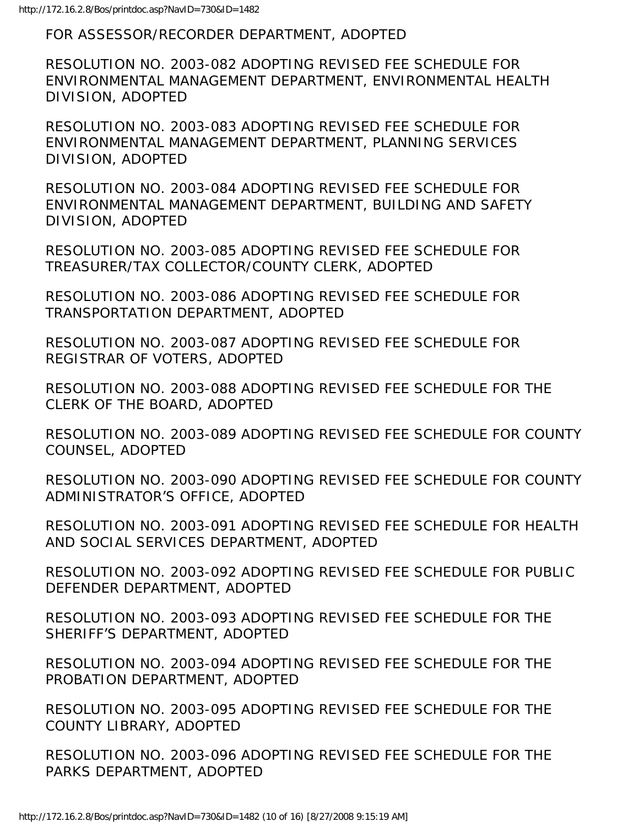FOR ASSESSOR/RECORDER DEPARTMENT, ADOPTED

RESOLUTION NO. 2003-082 ADOPTING REVISED FEE SCHEDULE FOR ENVIRONMENTAL MANAGEMENT DEPARTMENT, ENVIRONMENTAL HEALTH DIVISION, ADOPTED

RESOLUTION NO. 2003-083 ADOPTING REVISED FEE SCHEDULE FOR ENVIRONMENTAL MANAGEMENT DEPARTMENT, PLANNING SERVICES DIVISION, ADOPTED

RESOLUTION NO. 2003-084 ADOPTING REVISED FEE SCHEDULE FOR ENVIRONMENTAL MANAGEMENT DEPARTMENT, BUILDING AND SAFETY DIVISION, ADOPTED

RESOLUTION NO. 2003-085 ADOPTING REVISED FEE SCHEDULE FOR TREASURER/TAX COLLECTOR/COUNTY CLERK, ADOPTED

RESOLUTION NO. 2003-086 ADOPTING REVISED FEE SCHEDULE FOR TRANSPORTATION DEPARTMENT, ADOPTED

RESOLUTION NO. 2003-087 ADOPTING REVISED FEE SCHEDULE FOR REGISTRAR OF VOTERS, ADOPTED

RESOLUTION NO. 2003-088 ADOPTING REVISED FEE SCHEDULE FOR THE CLERK OF THE BOARD, ADOPTED

RESOLUTION NO. 2003-089 ADOPTING REVISED FEE SCHEDULE FOR COUNTY COUNSEL, ADOPTED

RESOLUTION NO. 2003-090 ADOPTING REVISED FEE SCHEDULE FOR COUNTY ADMINISTRATOR'S OFFICE, ADOPTED

RESOLUTION NO. 2003-091 ADOPTING REVISED FEE SCHEDULE FOR HEALTH AND SOCIAL SERVICES DEPARTMENT, ADOPTED

RESOLUTION NO. 2003-092 ADOPTING REVISED FEE SCHEDULE FOR PUBLIC DEFENDER DEPARTMENT, ADOPTED

RESOLUTION NO. 2003-093 ADOPTING REVISED FEE SCHEDULE FOR THE SHERIFF'S DEPARTMENT, ADOPTED

RESOLUTION NO. 2003-094 ADOPTING REVISED FEE SCHEDULE FOR THE PROBATION DEPARTMENT, ADOPTED

RESOLUTION NO. 2003-095 ADOPTING REVISED FEE SCHEDULE FOR THE COUNTY LIBRARY, ADOPTED

RESOLUTION NO. 2003-096 ADOPTING REVISED FEE SCHEDULE FOR THE PARKS DEPARTMENT, ADOPTED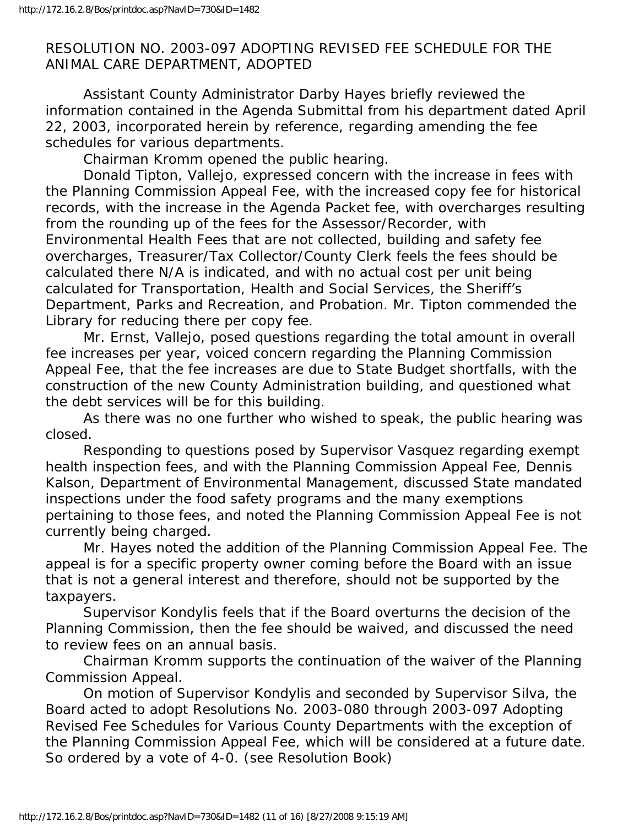#### RESOLUTION NO. 2003-097 ADOPTING REVISED FEE SCHEDULE FOR THE ANIMAL CARE DEPARTMENT, ADOPTED

 Assistant County Administrator Darby Hayes briefly reviewed the information contained in the Agenda Submittal from his department dated April 22, 2003, incorporated herein by reference, regarding amending the fee schedules for various departments.

Chairman Kromm opened the public hearing.

 Donald Tipton, Vallejo, expressed concern with the increase in fees with the Planning Commission Appeal Fee, with the increased copy fee for historical records, with the increase in the Agenda Packet fee, with overcharges resulting from the rounding up of the fees for the Assessor/Recorder, with Environmental Health Fees that are not collected, building and safety fee overcharges, Treasurer/Tax Collector/County Clerk feels the fees should be calculated there N/A is indicated, and with no actual cost per unit being calculated for Transportation, Health and Social Services, the Sheriff's Department, Parks and Recreation, and Probation. Mr. Tipton commended the Library for reducing there per copy fee.

 Mr. Ernst, Vallejo, posed questions regarding the total amount in overall fee increases per year, voiced concern regarding the Planning Commission Appeal Fee, that the fee increases are due to State Budget shortfalls, with the construction of the new County Administration building, and questioned what the debt services will be for this building.

 As there was no one further who wished to speak, the public hearing was closed.

 Responding to questions posed by Supervisor Vasquez regarding exempt health inspection fees, and with the Planning Commission Appeal Fee, Dennis Kalson, Department of Environmental Management, discussed State mandated inspections under the food safety programs and the many exemptions pertaining to those fees, and noted the Planning Commission Appeal Fee is not currently being charged.

 Mr. Hayes noted the addition of the Planning Commission Appeal Fee. The appeal is for a specific property owner coming before the Board with an issue that is not a general interest and therefore, should not be supported by the taxpayers.

 Supervisor Kondylis feels that if the Board overturns the decision of the Planning Commission, then the fee should be waived, and discussed the need to review fees on an annual basis.

 Chairman Kromm supports the continuation of the waiver of the Planning Commission Appeal.

 On motion of Supervisor Kondylis and seconded by Supervisor Silva, the Board acted to adopt Resolutions No. 2003-080 through 2003-097 Adopting Revised Fee Schedules for Various County Departments with the exception of the Planning Commission Appeal Fee, which will be considered at a future date. So ordered by a vote of 4-0. (see Resolution Book)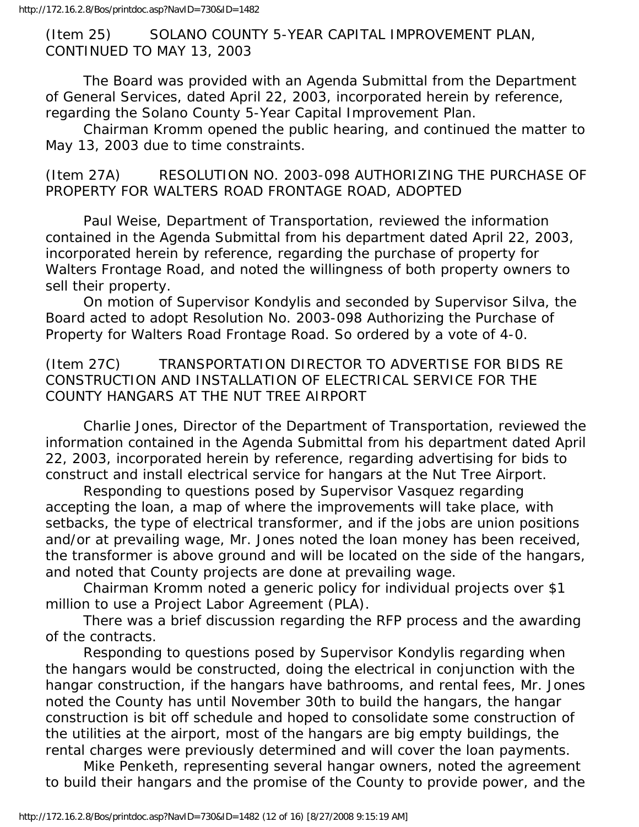(Item 25) SOLANO COUNTY 5-YEAR CAPITAL IMPROVEMENT PLAN, CONTINUED TO MAY 13, 2003

 The Board was provided with an Agenda Submittal from the Department of General Services, dated April 22, 2003, incorporated herein by reference, regarding the Solano County 5-Year Capital Improvement Plan.

 Chairman Kromm opened the public hearing, and continued the matter to May 13, 2003 due to time constraints.

(Item 27A) RESOLUTION NO. 2003-098 AUTHORIZING THE PURCHASE OF PROPERTY FOR WALTERS ROAD FRONTAGE ROAD, ADOPTED

 Paul Weise, Department of Transportation, reviewed the information contained in the Agenda Submittal from his department dated April 22, 2003, incorporated herein by reference, regarding the purchase of property for Walters Frontage Road, and noted the willingness of both property owners to sell their property.

 On motion of Supervisor Kondylis and seconded by Supervisor Silva, the Board acted to adopt Resolution No. 2003-098 Authorizing the Purchase of Property for Walters Road Frontage Road. So ordered by a vote of 4-0.

(Item 27C) TRANSPORTATION DIRECTOR TO ADVERTISE FOR BIDS RE CONSTRUCTION AND INSTALLATION OF ELECTRICAL SERVICE FOR THE COUNTY HANGARS AT THE NUT TREE AIRPORT

 Charlie Jones, Director of the Department of Transportation, reviewed the information contained in the Agenda Submittal from his department dated April 22, 2003, incorporated herein by reference, regarding advertising for bids to construct and install electrical service for hangars at the Nut Tree Airport.

 Responding to questions posed by Supervisor Vasquez regarding accepting the loan, a map of where the improvements will take place, with setbacks, the type of electrical transformer, and if the jobs are union positions and/or at prevailing wage, Mr. Jones noted the loan money has been received, the transformer is above ground and will be located on the side of the hangars, and noted that County projects are done at prevailing wage.

 Chairman Kromm noted a generic policy for individual projects over \$1 million to use a Project Labor Agreement (PLA).

 There was a brief discussion regarding the RFP process and the awarding of the contracts.

 Responding to questions posed by Supervisor Kondylis regarding when the hangars would be constructed, doing the electrical in conjunction with the hangar construction, if the hangars have bathrooms, and rental fees, Mr. Jones noted the County has until November 30th to build the hangars, the hangar construction is bit off schedule and hoped to consolidate some construction of the utilities at the airport, most of the hangars are big empty buildings, the rental charges were previously determined and will cover the loan payments.

 Mike Penketh, representing several hangar owners, noted the agreement to build their hangars and the promise of the County to provide power, and the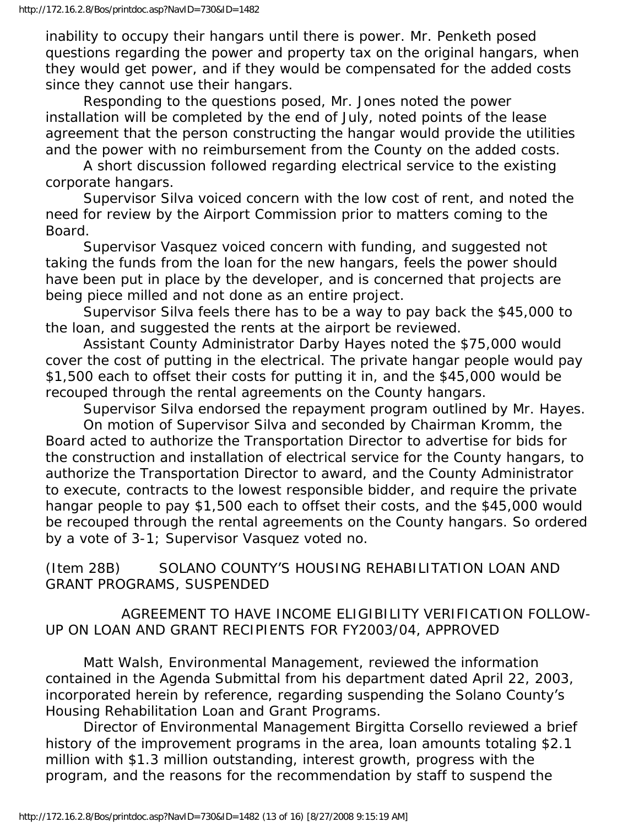inability to occupy their hangars until there is power. Mr. Penketh posed questions regarding the power and property tax on the original hangars, when they would get power, and if they would be compensated for the added costs since they cannot use their hangars.

 Responding to the questions posed, Mr. Jones noted the power installation will be completed by the end of July, noted points of the lease agreement that the person constructing the hangar would provide the utilities and the power with no reimbursement from the County on the added costs.

 A short discussion followed regarding electrical service to the existing corporate hangars.

 Supervisor Silva voiced concern with the low cost of rent, and noted the need for review by the Airport Commission prior to matters coming to the Board.

 Supervisor Vasquez voiced concern with funding, and suggested not taking the funds from the loan for the new hangars, feels the power should have been put in place by the developer, and is concerned that projects are being piece milled and not done as an entire project.

 Supervisor Silva feels there has to be a way to pay back the \$45,000 to the loan, and suggested the rents at the airport be reviewed.

 Assistant County Administrator Darby Hayes noted the \$75,000 would cover the cost of putting in the electrical. The private hangar people would pay \$1,500 each to offset their costs for putting it in, and the \$45,000 would be recouped through the rental agreements on the County hangars.

 Supervisor Silva endorsed the repayment program outlined by Mr. Hayes. On motion of Supervisor Silva and seconded by Chairman Kromm, the Board acted to authorize the Transportation Director to advertise for bids for the construction and installation of electrical service for the County hangars, to authorize the Transportation Director to award, and the County Administrator to execute, contracts to the lowest responsible bidder, and require the private hangar people to pay \$1,500 each to offset their costs, and the \$45,000 would be recouped through the rental agreements on the County hangars. So ordered by a vote of 3-1; Supervisor Vasquez voted no.

(Item 28B) SOLANO COUNTY'S HOUSING REHABILITATION LOAN AND GRANT PROGRAMS, SUSPENDED

 AGREEMENT TO HAVE INCOME ELIGIBILITY VERIFICATION FOLLOW-UP ON LOAN AND GRANT RECIPIENTS FOR FY2003/04, APPROVED

 Matt Walsh, Environmental Management, reviewed the information contained in the Agenda Submittal from his department dated April 22, 2003, incorporated herein by reference, regarding suspending the Solano County's Housing Rehabilitation Loan and Grant Programs.

 Director of Environmental Management Birgitta Corsello reviewed a brief history of the improvement programs in the area, loan amounts totaling \$2.1 million with \$1.3 million outstanding, interest growth, progress with the program, and the reasons for the recommendation by staff to suspend the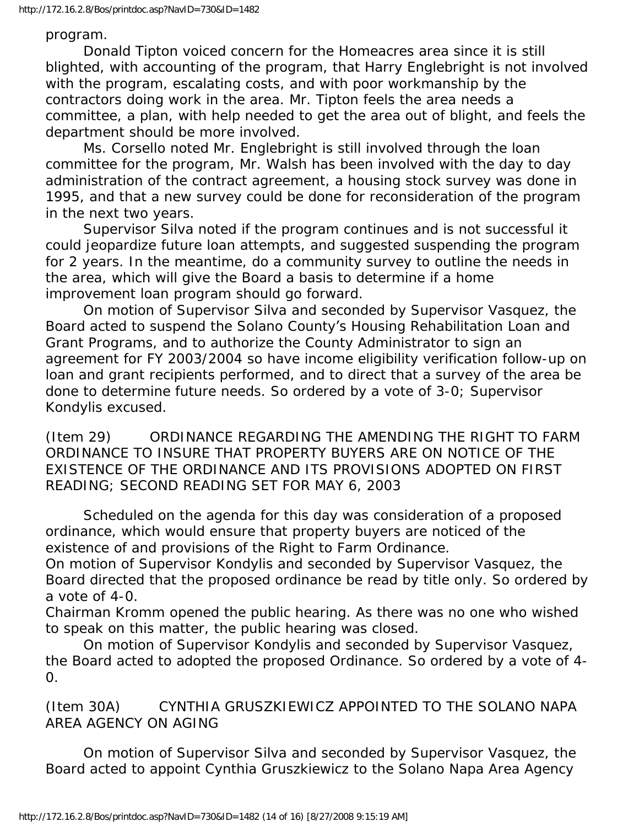#### program.

 Donald Tipton voiced concern for the Homeacres area since it is still blighted, with accounting of the program, that Harry Englebright is not involved with the program, escalating costs, and with poor workmanship by the contractors doing work in the area. Mr. Tipton feels the area needs a committee, a plan, with help needed to get the area out of blight, and feels the department should be more involved.

 Ms. Corsello noted Mr. Englebright is still involved through the loan committee for the program, Mr. Walsh has been involved with the day to day administration of the contract agreement, a housing stock survey was done in 1995, and that a new survey could be done for reconsideration of the program in the next two years.

 Supervisor Silva noted if the program continues and is not successful it could jeopardize future loan attempts, and suggested suspending the program for 2 years. In the meantime, do a community survey to outline the needs in the area, which will give the Board a basis to determine if a home improvement loan program should go forward.

 On motion of Supervisor Silva and seconded by Supervisor Vasquez, the Board acted to suspend the Solano County's Housing Rehabilitation Loan and Grant Programs, and to authorize the County Administrator to sign an agreement for FY 2003/2004 so have income eligibility verification follow-up on loan and grant recipients performed, and to direct that a survey of the area be done to determine future needs. So ordered by a vote of 3-0; Supervisor Kondylis excused.

(Item 29) ORDINANCE REGARDING THE AMENDING THE RIGHT TO FARM ORDINANCE TO INSURE THAT PROPERTY BUYERS ARE ON NOTICE OF THE EXISTENCE OF THE ORDINANCE AND ITS PROVISIONS ADOPTED ON FIRST READING; SECOND READING SET FOR MAY 6, 2003

 Scheduled on the agenda for this day was consideration of a proposed ordinance, which would ensure that property buyers are noticed of the existence of and provisions of the Right to Farm Ordinance.

On motion of Supervisor Kondylis and seconded by Supervisor Vasquez, the Board directed that the proposed ordinance be read by title only. So ordered by a vote of 4-0.

Chairman Kromm opened the public hearing. As there was no one who wished to speak on this matter, the public hearing was closed.

 On motion of Supervisor Kondylis and seconded by Supervisor Vasquez, the Board acted to adopted the proposed Ordinance. So ordered by a vote of 4-  $\Omega$ .

(Item 30A) CYNTHIA GRUSZKIEWICZ APPOINTED TO THE SOLANO NAPA AREA AGENCY ON AGING

 On motion of Supervisor Silva and seconded by Supervisor Vasquez, the Board acted to appoint Cynthia Gruszkiewicz to the Solano Napa Area Agency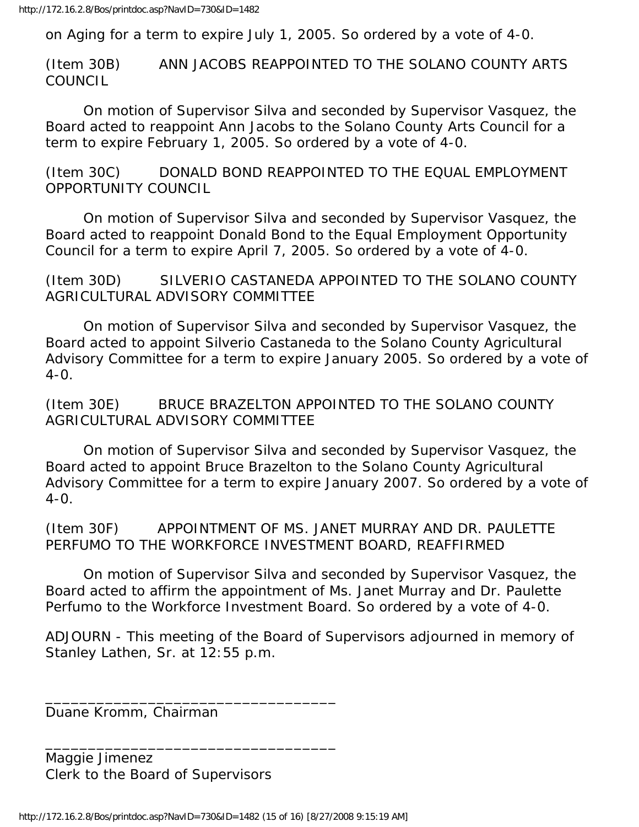on Aging for a term to expire July 1, 2005. So ordered by a vote of 4-0.

(Item 30B) ANN JACOBS REAPPOINTED TO THE SOLANO COUNTY ARTS **COUNCIL** 

 On motion of Supervisor Silva and seconded by Supervisor Vasquez, the Board acted to reappoint Ann Jacobs to the Solano County Arts Council for a term to expire February 1, 2005. So ordered by a vote of 4-0.

(Item 30C) DONALD BOND REAPPOINTED TO THE EQUAL EMPLOYMENT OPPORTUNITY COUNCIL

 On motion of Supervisor Silva and seconded by Supervisor Vasquez, the Board acted to reappoint Donald Bond to the Equal Employment Opportunity Council for a term to expire April 7, 2005. So ordered by a vote of 4-0.

(Item 30D) SILVERIO CASTANEDA APPOINTED TO THE SOLANO COUNTY AGRICULTURAL ADVISORY COMMITTEE

 On motion of Supervisor Silva and seconded by Supervisor Vasquez, the Board acted to appoint Silverio Castaneda to the Solano County Agricultural Advisory Committee for a term to expire January 2005. So ordered by a vote of  $4-0$ .

(Item 30E) BRUCE BRAZELTON APPOINTED TO THE SOLANO COUNTY AGRICULTURAL ADVISORY COMMITTEE

 On motion of Supervisor Silva and seconded by Supervisor Vasquez, the Board acted to appoint Bruce Brazelton to the Solano County Agricultural Advisory Committee for a term to expire January 2007. So ordered by a vote of  $4-0$ .

(Item 30F) APPOINTMENT OF MS. JANET MURRAY AND DR. PAULETTE PERFUMO TO THE WORKFORCE INVESTMENT BOARD, REAFFIRMED

 On motion of Supervisor Silva and seconded by Supervisor Vasquez, the Board acted to affirm the appointment of Ms. Janet Murray and Dr. Paulette Perfumo to the Workforce Investment Board. So ordered by a vote of 4-0.

ADJOURN - This meeting of the Board of Supervisors adjourned in memory of Stanley Lathen, Sr. at 12:55 p.m.

Duane Kromm, Chairman

Maggie Jimenez Clerk to the Board of Supervisors

\_\_\_\_\_\_\_\_\_\_\_\_\_\_\_\_\_\_\_\_\_\_\_\_\_\_\_\_\_\_\_\_\_\_

\_\_\_\_\_\_\_\_\_\_\_\_\_\_\_\_\_\_\_\_\_\_\_\_\_\_\_\_\_\_\_\_\_\_